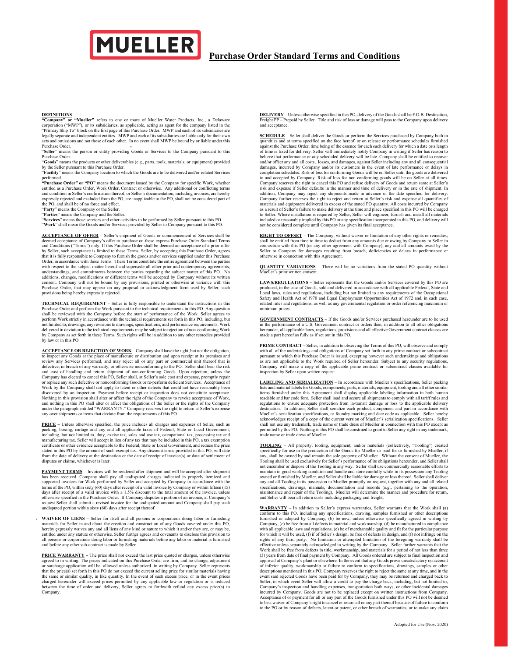

## **Purchase Order Standard Terms and Conditions**

**DEFINITIONS** or "**Mueller**" refers to one or more of Mueller Water Products, Inc., a Delaware "Company" or "**Mueller**" refers to one or more of Mueller Water Products, Inc., a Delaware corporation ("MWP"), or its subsidia

Purchase Order. "**Seller**" means the person or entity providing Goods or Services to the Company pursuant to this

Purchase Order.<br>**"Goods"** means the products or other deliverables (e.g., parts, tools, materials, or equipment) provided<br>by the Seller pursuant to this Purchase Order.

"**Facility**" means the Company location to which the Goods are to be delivered and/or related Services

performed.<br>"Purchase Order" or "PO" means the document issued by the Company for specific Work, whether<br>entitled as a Purchase Order, Work Order, Contract or otherwise. Any additional or conflicting terms<br>and condition in expressly rejected and excluded from the PO, are inapplicable to the PO, shall not be considered part of the PO, and shall be of no force and effect.

"**Party**" means the Company or the Seller. "**Parties**" means the Company and the Seller.

"**Services**" means those services and other activities to be performed by Seller pursuant to this PO. "**Work**" shall mean the Goods and/or Services provided by Seller to Company pursuant to this PO.

**ACCEPTANCE OF OFFER** – Seller's shipment of Goods or commencement of Services shall be deemed acceptance of Company's offer to purchase on these express Purchase Order Standard Terms and Conditions ("Terms") only. If this Purchase Order shall be deemed an acceptance of a prior offer by Seller, such acceptance is limited to these Terms. Seller, by accepting this Purchase Order, agrees that it is fully responsible to Company to furnish the goods and/or services supplied under this Purchase Order, in accordance with these Terms. These Terms constitute the entire agreement between the parties with respect to the subject mater hereof and supersede all other prior and contemporary agreements, understandings, and provisions being hereby expressly rejected.

**TECHNICAL REOUIREMT** - Seller is fully responsible to understand the instructions in this POLANCE PUCHERMENT - Seller is fully responsible to understand the reviewed with the Company before the start of performance of the delivered in deviation to the technical requirements may be subject to rejection of non-conforming Work by Company as set forth in these Terms. Such rights will be in addition to any other remedies provided by law or in this PO.

**ACCEPTANCE OR REJECTION OF WORK** – Company shall have the right, but not the obligation, to inspect any Goods at the place of manufacture or distribution and upon receipt at its premises and review any Services performed, and may reject all or any part or commercial unit thereof that is defective, in breach of any warranty, or otherwise nonconforming to the PO. Seller shall bear the risk<br>and cost of handling and return shipment of non-conforming Goods. Upon rejection, unless the<br>Company has elected to can or replace any such defective or nonconforming Goods or re-perform deficient Services. Acceptance of Work by the Company shall not apply to latent or other defects that could not have reasonably been discovered by an inspection. Payment before receipt or inspection does not constitute acceptance.<br>Nothing in this provision shall alter or affect the right of the Company to revoke acceptance of Work,<br>and nothing in this P under the paragraph entitled "WARRANTY." Company reserves the right to return at Seller's expense any over shipments or items that deviate from the requirements of this PO

**PRICE –** Unless otherwise specified, the price includes all charges and expenses of Seller, such as packing, boxing, cartage and any and all applicable taxes of Federal, State or Local Government,<br>including, but not limited to, duty, excise tax, sales and use tax, occupational tax, processing tax and<br>manufacturing tax. S stated in this PO by the amount of such exempt tax. Any discount terms provided in this PO, will date from the date of delivery at the destination or the date of receipt of invoice(s) or date of settlement of disputes or claims, whichever is later.

**PAYMENT TERMS** – Invoices will be rendered after shipment and will be accepted after shipment has been received. Company shall pay all undisputed charges indicated in properly itemized and supported invoices for Work performed by Seller and accepted by Company in accordance with the terms of the PO, within sixty (60) days after receipt of a valid invoice by Company or within fifteen (15) days after receipt of a valid invoice with a 1.5% discount to the total amount of the invoice, unless otherwise specified in the Purchase Order. If Company disputes a portion of an invoice, at Company's<br>request Seller shall submit a revised invoice for the undisputed amount and Company shall pay such<br>undisputed portion wit

**WAIVER OF LIENS –** Seller for itself and all persons or corporations doing labor or furnishing materials for Seller in and about the erection and construction of any Goods covered under this PO, hereby expressly waives any and all liens of any kind or nature to which it and/or they are, or may be, entitled under any statute or otherwise. Seller further agrees and covenants to disclose this provision to all persons or corporations doing labor or furnishing materials before any labor or material is furnished and before any other sub-contract is made by Seller.

**PRICE WARRANTY** – The price shall not exceed the last price quoted or charges, unless otherwise<br>agred to in writing. The prices indicated on this Purchase Order are firm, and no change, adjustment<br>or surtange application Company.

**DELIVERY** – Unless otherwise specified in this PO, delivery of the Goods shall be F.O.B. Destination, Freight PP – Prepaid by Seller. Title and risk of loss or damage will pass to the Company upon delivery and accepta

**SCHEDULE –** Seller shall deliver the Goods or perform the Services purchased by Company both in quantities and at terms specified on the face hereof, or on release or performance schedules furnished against the Purchase Order, time being of the essence for each such delivery for which a date or a length of time is fixed for delivery. Seller will immediately notify company in writing if Seller has reason to believe tha completion schedules. Risk of loss for conforming Goods will be on Seller until the goods are delivered to and accepted by Company. Risk of loss for non-conforming goods will be on Seller at all times. Company reserves the right to cancel this PO and refuse delivery of Goods and return same at Seller's<br>risk and expense if Seller defaults in the manner and time of delivery or in the rate of shipment. In<br>addition, Company Company further reserves the right to reject and return at Seller's risk and expense all quantifies of materials and equipment delivered in excess of the stated PO quantity. All costs incurred by Company as a result of Seller's failure to make delivery at the time and place specified in this PO will be charged to Seller. Where installation is required by Seller, Seller will engineer, furnish and install all materials included or reasonably implied by this PO or any specification incorporated in this PO, and delivery will not be considered complete until Company has given its final acceptance.

**RIGHT TO OFFSET** – The Company, without waiver or limitation of any other rights or remedies, shall be entitled from time to time to deduct from any amounts due or owing by Company to Seller in connection with this PO (or otherwise in connection with this Agreement.

**QUANTITY VARIATIONS –** There will be no variations from the stated PO quantity without Iueller's prior written cons

**LAWS/REGULATIONS –** Seller represents that the Goods and/or Services covered by this PO are produced, in the case of Goods, sold and delivered in accordance with all applicable Federal, State and Local laws, rules and regulations, including but not limited to any requirements of the Occupational Safety and Health Act of 1970 and Equal Employment Opportunities Act of 1972 and, in each case, related rules and regulations, as well as any governmental regulation or order referencing maximum or um prices

**GOVERNMENT CONTRACTS** – If the Goods and/or Services purchased hereunder are to be used in the performance of a U.S. Government contract or orders then, in addition to all other obligations hereunder, all applicable laws, regulations, provisions and all effective Government contract clauses are made a part hereof as fully as if set out in this PO.

**PRIME CONTRACT –** Seller, in addition to observing the Terms of this PO, will observe and comply with all of the undertakings and obligations of Company set forth in any prime contract or subcontract pursuant to which this Purchase Order is issued, excepting however such undertakings and obligations as are not applicable to the Work required of Seller hereunder. Subject to any security regulations, Company will make a copy of the applicable prime contract or subcontract clauses available for inspection by Seller upon written request.

 $\underline{\textbf{I}\text{A}\textbf{B}\textbf{E}\textbf{I}\textbf{N}\textbf{G}\textbf{N}\textbf{D}\textbf{S}\textbf{R}\textbf{I}\textbf{A}\textbf{I}\textbf{I}\textbf{Z}\textbf{A}\textbf{T}\textbf{O}\textbf{N}}$   $\text{–}I$  accordance with Mueller's specifications, Seller packing that the<br>lists and material labels for Goods, com destination. In addition, Seller shall serialize each product, component and part in accordance with<br>Mueller's serialization specifications, or foundry marking and date code as applicable. Seller hereby<br>acknowledges receip trade name or trade dress of Mueller.

**TOOLING** – All property, tooling, equipment, and/or materials (collectively, "Tooling") created specifically for use in the production of the Goods for Mueller or paid for or furnished by Mueller, if any, shall be owned by and remain the sole property of Mueller. Without the consent of Mueller, the Tooling shall be used exclusively for Seller's performance of its obligations hereunder, and Seller shall<br>not encumber or dispose of the Tooling in any way. Seller shall use commercially reasonable efforts to<br>maintain in g owned or furnished by Mueller, and Seller shall be liable for damage or loss thereof. Seller shall deliver any and all Tooling in its possession to Mueller promptly on request, together with any and all related specifications, drawings, manuals, documentation and records (e.g., pertaining to the operation, maintenance and repair of the Tooling). Mueller will determine the manner and procedure for return, and Seller will bear all return costs including packaging and freight.

**WARRANTY –** In addition to Seller's express warranties, Seller warrants that the Work shall (a) conform to this PO, including any specifications, drawing, samples furnished or other descriptions furnished or adopted by Company, (b) be new, unless otherwise specifically agreed in writing by Company, (c) be free from all defects in material and workmanship, (d) be manufactured in compliance with all applicable laws and regulations, (e) be of merchantable quality and fit for the particular purpose for which it will be used, (f) if of Seller's design, be free of defects in design, and (f) not infringe on the rights of any third party. No limitation or attempted limitation of the foregoing warranty shall be<br>effective unless separately acknowledged in writing by the Company. Seller further warrants that the<br>Work shall be free fr (3) years from date of final payment by Company. All Goods ordered are subject to final inspection and approval at Company's plant or elsewhere. In the event that any Goods prove unsatisfactory on account of inferior quality, workmanship or failure to conform to specifications, drawings, samples or other descriptions mentioned in this PO, Company reserves the right to revent said rejected Goods have been paid for by Company incurred by Company. Goods are not to be replaced except on written instructions from Company. Acceptance of or payment for all or any part of the Goods furnished under this PO will not be deemed to be a waiver of Company's right to cancel or return all or any part thereof because of failure to conform to the PO or by reason of defects, latent or patent, or other breach of warranties, or to make any claim